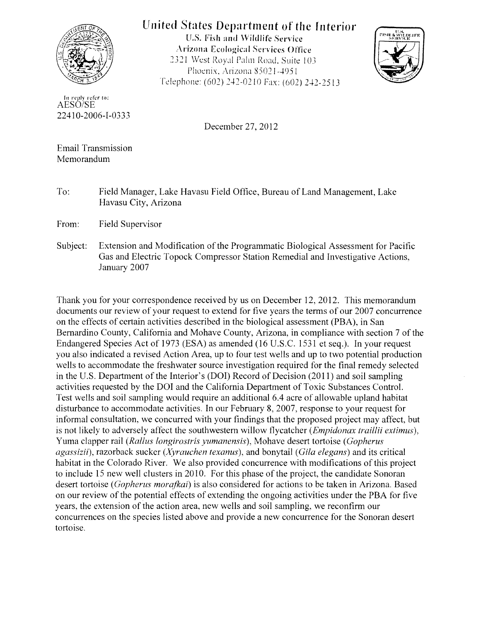

## United States Department of the Interior

U.S. Fish and Wildlife Service Arizona Ecological Services Office 2321 West Royal Palm Road. Suite 103 Phoenix, Arizona 85021-4951 Telephone: (602) 242-0210 Fax: (602) 242-2513



In reply refer to:<br>AESO/SE 22410-2006-1-0333

December 27,2012

Email Transmission Memorandum

To: Field Manager, Lake Havasu Field Office, Bureau of Land Management, Lake Havasu City, Arizona

From: Field Supervisor

Subject: Extension and Modification of the Programmatic Biological Assessment for Pacific Gas and Electric Topock Compressor Station Remedial and Investigative Actions, January 2007

Thank you for your correspondence received by us on December 12,2012. This memorandum documents our review of your request to extend for five years the terms of our 2007 concurrence on the effects of certain activities described in the biological assessment (PBA), in San Bernardino County, California and Mohave County, Arizona, in compliance with section 7 of the Endangered Species Act of 1973 (ESA) as amended (16 U.S.C. 1531 et seq.). In your request you also indicated a revised Action Area, up to four test wells and up to two potential production wells to accommodate the freshwater source investigation required for the final remedy selected in the U.S. Department of the Interior's (DOI) Record of Decision (2011) and soil sampling activities requested by the DOl and the California Department of Toxic Substances Control. Test wells and soil sampling would require an additional 6.4 acre of allowable upland habitat disturbance to accommodate activities. In our February 8, 2007, response to your request for informal consultation, we concurred with your findings that the proposed project may affect, but is not likely to adversely affect the southwestern willow flycatcher *(Empidonax traillii extimus),*  Yuma clapper rail *(Rallus iongirostris yumanensis),* Mohave desert tortoise *(Gopherus agassizii),* razorback sucker *(Xyrauchen lexanus),* and bonytail *(Gila elegans)* and its critical habitat in the Colorado River. We also provided concurrence with modifications of this project to include 15 new well clusters in 2010. For this phase of the project, the candidate Sonoran desert tortoise *(Gopherus morafkai)* is also considered for actions to be taken in Arizona. Based on our review of the potential effects of extending the ongoing activities under the PBA for five years, the extension of the action area, new wells and soil sampling, we reconfirm our concurrences on the species listed above and provide a new concurrence for the Sonoran desert tortoise.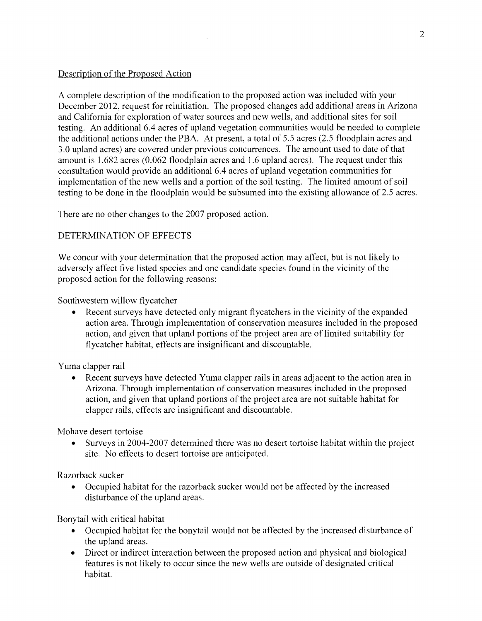## Description of the Proposed Action

A complete description of the modification to the proposed action was included with your December 2012, request for reinitiation. The proposed changes add additional areas in Arizona and California for exploration of water sources and new wells, and additional sites for soil testing. An additional 6.4 acres of upland vegetation communities would be needed to complete the additional actions under the PBA. At present, a total of 5.5 acres (2.5 floodplain acres and 3.0 upland acres) are covered under previous concurrences. The amount used to date of that amount is 1.682 acres (0.062 floodplain acres and 1.6 upland acres). The request under this consultation would provide an additional 6.4 acres of upland vegetation communities for implementation of the new wells and a portion of the soil testing. The limited amount of soil testing to be done in the floodplain would be subsumed into the existing allowance of 2.5 acres.

There are no other changes to the 2007 proposed action.

## DETERMINATION OF EFFECTS

We concur with your determination that the proposed action may affect, but is not likely to adversely affect five listed species and one candidate species found in the vicinity of the proposed action for the following reasons:

Southwestern willow flycatcher

• Recent surveys have detected only migrant flycatchers in the vicinity of the expanded action area. Through implementation of conservation measures included in the proposed action, and given that upland portions of the project area are of limited suitability for flycatcher habitat, effects are insignificant and discountable.

Yuma clapper rail

• Recent surveys have detected Yuma clapper rails in areas adjacent to the action area in Arizona. Through implementation of conservation measures included in the proposed action, and given that upland portions of the project area are not suitable habitat for clapper rails, effects are insignificant and discountable.

Mohave desert tortoise

• Surveys in 2004-2007 determined there was no desert tortoise habitat within the project site. No effects to desert tortoise are anticipated.

Razorback sucker

• Occupied habitat for the razorback sucker would not be affected by the increased disturbance of the upland areas.

Bonytail with critical habitat

- Occupied habitat for the bonytail would not be affected by the increased disturbance of the upland areas.
- Direct or indirect interaction between the proposed action and physical and biological features is not likely to occur since the new wells are outside of designated critical habitat.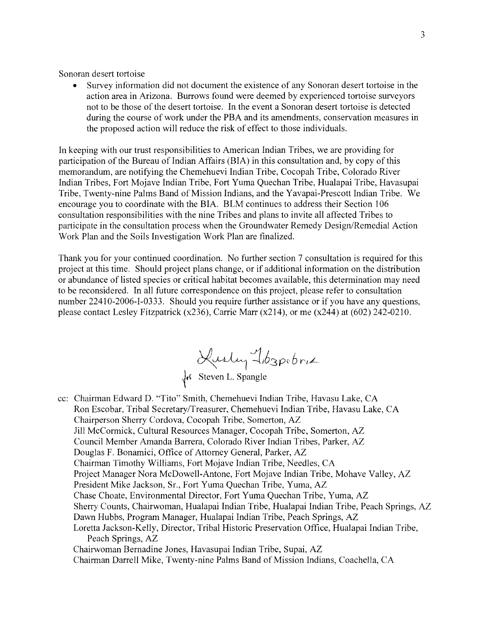Sonoran desert tortoise

• Survey information did not document the existence of any Sonoran desert tortoise in the action area in Arizona. Burrows found were deemed by experienced tortoise surveyors not to be those of the desert tortoise. In the event a Sonoran desert tortoise is detected during the course of work under the PBA and its amendments, conservation measures in the proposed action will reduce the risk of effect to those individuals.

In keeping with our trust responsibilities to American Indian Tribes, we are providing for participation of the Bureau of Indian Affairs (BIA) in this consultation and, by copy of this memorandum, are notifying the Chemehuevi Indian Tribe, Cocopah Tribe, Colorado River Indian Tribes, Fort Mojave Indian Tribe, Fort Yuma Quechan Tribe, Hualapai Tribe, Havasupai Tribe, Twenty-nine Palms Band of Mission Indians, and the Yavapai-Prescott Indian Tribe. We encourage you to coordinate with the BIA. BLM continues to address their Section 106 consultation responsibilities with the nine Tribes and plans to invite all affected Tribes to participate in the consultation process when the Groundwater Remedy Design/Remedial Action Work Plan and the Soils Investigation Work Plan are finalized.

Thank you for your continued coordination. No further section 7 consultation is required for this project at this time. Should project plans change, or if additional information on the distribution or abundance of listed species or critical habitat becomes available, this determination may need to be reconsidered. In all future correspondence on this project, please refer to consultation number 22410-2006-1-0333. Should you require further assistance or if you have any questions, please contact Lesley Fitzpatrick  $(x236)$ , Carrie Marr  $(x214)$ , or me  $(x244)$  at  $(602)$  242-0210.

Kusley Tb3pebriz

 $\sqrt{\varepsilon}$  Steven L. Spangle

- cc: Chairman Edward D. "Tito" Smith, Chemehuevi Indian Tribe, Havasu Lake, CA Ron Escobar, Tribal Secretary/Treasurer, Chemehuevi Indian Tribe, Havasu Lake, CA Chairperson Sherry Cordova, Cocopah Tribe, Somerton, AZ Jill McCormick, Cultural Resources Manager, Cocopah Tribe, Somerton, AZ Council Member Amanda Barrera, Colorado River Indian Tribes, Parker, AZ Douglas F. Bonamici, Office of Attorney General, Parker, AZ Chairman Timothy Williams, Fort Mojave Indian Tribe, Needles, CA Project Manager Nora McDowell-Antone, Fort Mojave Indian Tribe, Mohave Valley, AZ President Mike Jackson, Sr., Fort Yuma Quechan Tribe, Yuma, AZ Chase Choate, Environmental Director, Fort Yuma Quechan Tribe, Yuma, AZ Sherry Counts, Chairwoman, Hualapai Indian Tribe, Hualapai Indian Tribe, Peach Springs, AZ Dawn Hubbs, Program Manager, Hualapai Indian Tribe, Peach Springs, AZ Loretta Jackson-Kelly, Director, Tribal Historic Preservation Office, Hualapai Indian Tribe, Peach Springs, AZ Chairwoman Bernadine Jones, Havasupai Indian Tribe, Supai, AZ
	- Chairman Darrell Mike, Twenty-nine Palms Band of Mission Indians, Coachella, CA